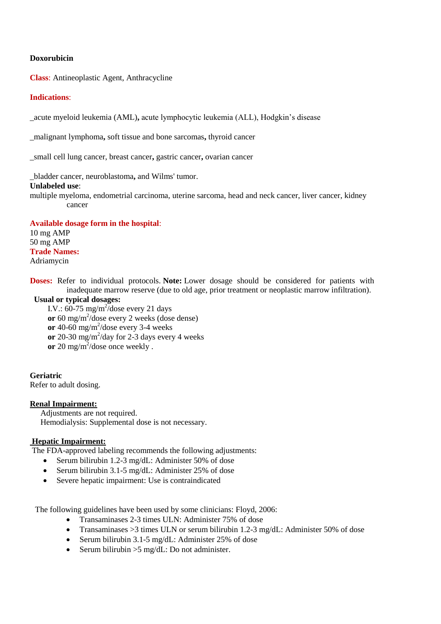#### **Doxorubicin**

**Class**: Antineoplastic Agent, Anthracycline

#### **Indications**:

\_acute myeloid leukemia (AML)**,** acute lymphocytic leukemia (ALL), Hodgkin's disease

\_malignant lymphoma**,** soft tissue and bone sarcomas**,** thyroid cancer

\_small cell lung cancer, breast cancer**,** gastric cancer**,** ovarian cancer

\_bladder cancer, neuroblastoma**,** and Wilms' tumor.

#### **Unlabeled use**:

multiple myeloma, endometrial carcinoma, uterine sarcoma, head and neck cancer, liver cancer, kidney cancer

**Available dosage form in the hospital**: 10 mg AMP 50 mg AMP **Trade Names:** Adriamycin

**Doses:** Refer to individual protocols. **Note:** Lower dosage should be considered for patients with inadequate marrow reserve (due to old age, prior treatment or neoplastic marrow infiltration).

# **Usual or typical dosages:**

I.V.:  $60-75$  mg/m<sup>2</sup>/dose every 21 days or 60 mg/m<sup>2</sup>/dose every 2 weeks (dose dense) or  $40-60$  mg/m<sup>2</sup>/dose every 3-4 weeks or 20-30  $mg/m^2$ /day for 2-3 days every 4 weeks or 20 mg/m<sup>2</sup>/dose once weekly.

#### **Geriatric**

Refer to adult dosing.

## **Renal Impairment:**

Adjustments are not required. Hemodialysis: Supplemental dose is not necessary.

# **Hepatic Impairment:**

The FDA-approved labeling recommends the following adjustments:

- Serum bilirubin 1.2-3 mg/dL: Administer 50% of dose
- Serum bilirubin 3.1-5 mg/dL: Administer 25% of dose
- Severe hepatic impairment: Use is contraindicated

The following guidelines have been used by some clinicians: Floyd, 2006:

- Transaminases 2-3 times ULN: Administer 75% of dose
- Transaminases  $>3$  times ULN or serum bilirubin 1.2-3 mg/dL: Administer 50% of dose
- Serum bilirubin 3.1-5 mg/dL: Administer 25% of dose
- Serum bilirubin  $>5$  mg/dL: Do not administer.